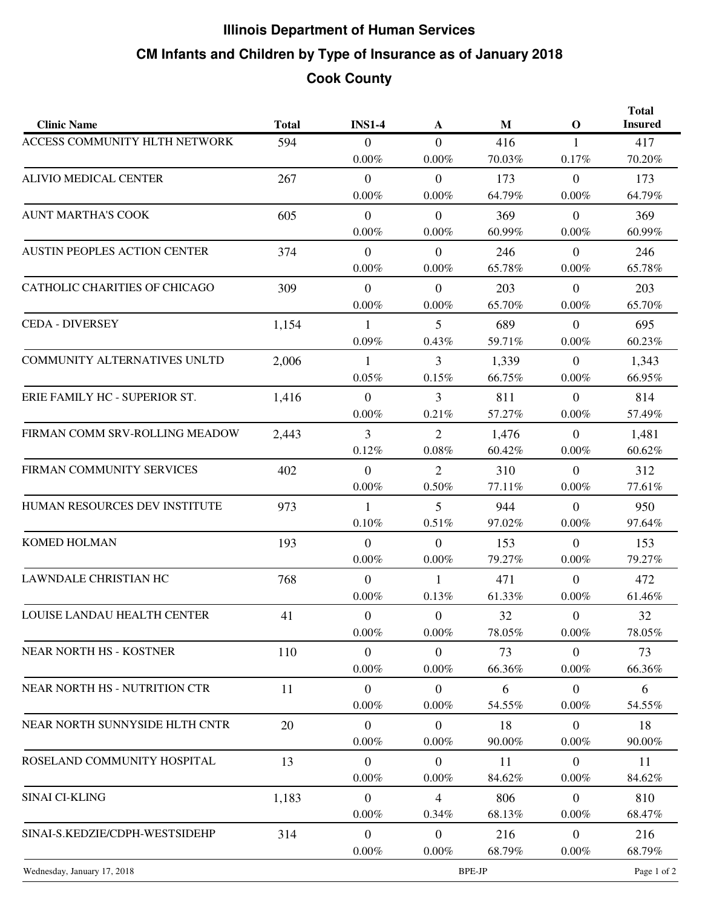## **CM Infants and Children by Type of Insurance as of January 2018 Illinois Department of Human Services Cook County**

| <b>Clinic Name</b>                  | <b>Total</b> | <b>INS1-4</b>    | A                | M      | $\mathbf{O}$   | <b>Total</b><br><b>Insured</b> |
|-------------------------------------|--------------|------------------|------------------|--------|----------------|--------------------------------|
| ACCESS COMMUNITY HLTH NETWORK       | 594          | $\overline{0}$   | $\overline{0}$   | 416    | $\mathbf{1}$   | 417                            |
|                                     |              | $0.00\%$         | $0.00\%$         | 70.03% | 0.17%          | 70.20%                         |
| <b>ALIVIO MEDICAL CENTER</b>        | 267          | $\mathbf{0}$     | $\mathbf{0}$     | 173    | $\overline{0}$ | 173                            |
|                                     |              | $0.00\%$         | $0.00\%$         | 64.79% | $0.00\%$       | 64.79%                         |
| <b>AUNT MARTHA'S COOK</b>           | 605          | $\overline{0}$   | $\overline{0}$   | 369    | $\overline{0}$ | 369                            |
|                                     |              | $0.00\%$         | $0.00\%$         | 60.99% | $0.00\%$       | 60.99%                         |
| <b>AUSTIN PEOPLES ACTION CENTER</b> | 374          | $\overline{0}$   | $\overline{0}$   | 246    | $\overline{0}$ | 246                            |
|                                     |              | $0.00\%$         | $0.00\%$         | 65.78% | $0.00\%$       | 65.78%                         |
| CATHOLIC CHARITIES OF CHICAGO       | 309          | $\overline{0}$   | $\overline{0}$   | 203    | $\overline{0}$ | 203                            |
|                                     |              | $0.00\%$         | 0.00%            | 65.70% | $0.00\%$       | 65.70%                         |
| <b>CEDA - DIVERSEY</b>              | 1,154        | $\mathbf{1}$     | 5                | 689    | $\overline{0}$ | 695                            |
|                                     |              | 0.09%            | 0.43%            | 59.71% | $0.00\%$       | 60.23%                         |
| COMMUNITY ALTERNATIVES UNLTD        | 2,006        | 1                | $\overline{3}$   | 1,339  | $\overline{0}$ | 1,343                          |
|                                     |              | $0.05\%$         | 0.15%            | 66.75% | $0.00\%$       | 66.95%                         |
| ERIE FAMILY HC - SUPERIOR ST.       | 1,416        | $\mathbf{0}$     | 3                | 811    | $\overline{0}$ | 814                            |
|                                     |              | $0.00\%$         | 0.21%            | 57.27% | $0.00\%$       | 57.49%                         |
| FIRMAN COMM SRV-ROLLING MEADOW      | 2,443        | $\overline{3}$   | $\overline{2}$   | 1,476  | $\overline{0}$ | 1,481                          |
|                                     |              | 0.12%            | $0.08\%$         | 60.42% | $0.00\%$       | 60.62%                         |
| FIRMAN COMMUNITY SERVICES           | 402          | $\overline{0}$   | $\overline{2}$   | 310    | $\Omega$       | 312                            |
|                                     |              | $0.00\%$         | 0.50%            | 77.11% | $0.00\%$       | 77.61%                         |
| HUMAN RESOURCES DEV INSTITUTE       | 973          | $\mathbf{1}$     | 5                | 944    | $\overline{0}$ | 950                            |
|                                     |              | 0.10%            | 0.51%            | 97.02% | $0.00\%$       | 97.64%                         |
| <b>KOMED HOLMAN</b>                 | 193          | $\mathbf{0}$     | $\mathbf{0}$     | 153    | $\overline{0}$ | 153                            |
|                                     |              | $0.00\%$         | $0.00\%$         | 79.27% | $0.00\%$       | 79.27%                         |
| LAWNDALE CHRISTIAN HC               | 768          | $\mathbf{0}$     | $\mathbf{1}$     | 471    | $\overline{0}$ | 472                            |
|                                     |              | $0.00\%$         | 0.13%            | 61.33% | $0.00\%$       | 61.46%                         |
| LOUISE LANDAU HEALTH CENTER         | 41           | $\Omega$         | $\Omega$         | 32     | $\theta$       | 32                             |
|                                     |              | $0.00\%$         | $0.00\%$         | 78.05% | $0.00\%$       | 78.05%                         |
| NEAR NORTH HS - KOSTNER             | 110          | $\boldsymbol{0}$ | $\boldsymbol{0}$ | 73     | $\overline{0}$ | 73                             |
|                                     |              | $0.00\%$         | $0.00\%$         | 66.36% | $0.00\%$       | 66.36%                         |
| NEAR NORTH HS - NUTRITION CTR       | 11           | $\mathbf{0}$     | $\mathbf{0}$     | 6      | $\overline{0}$ | 6                              |
|                                     |              | $0.00\%$         | $0.00\%$         | 54.55% | $0.00\%$       | 54.55%                         |
| NEAR NORTH SUNNYSIDE HLTH CNTR      | 20           | $\overline{0}$   | $\overline{0}$   | 18     | $\overline{0}$ | 18                             |
|                                     |              | $0.00\%$         | $0.00\%$         | 90.00% | $0.00\%$       | 90.00%                         |
| ROSELAND COMMUNITY HOSPITAL         | 13           | $\boldsymbol{0}$ | $\boldsymbol{0}$ | 11     | $\overline{0}$ | 11                             |
|                                     |              | $0.00\%$         | $0.00\%$         | 84.62% | $0.00\%$       | 84.62%                         |
| SINAI CI-KLING                      | 1,183        | $\mathbf{0}$     | $\overline{4}$   | 806    | $\overline{0}$ | 810                            |
|                                     |              | $0.00\%$         | $0.34\%$         | 68.13% | $0.00\%$       | 68.47%                         |
| SINAI-S.KEDZIE/CDPH-WESTSIDEHP      | 314          | $\mathbf{0}$     | $\boldsymbol{0}$ | 216    | $\overline{0}$ | 216                            |
|                                     |              | $0.00\%$         | $0.00\%$         | 68.79% | $0.00\%$       | 68.79%                         |
| Wednesday, January 17, 2018         |              | BPE-JP           |                  |        |                | Page 1 of 2                    |